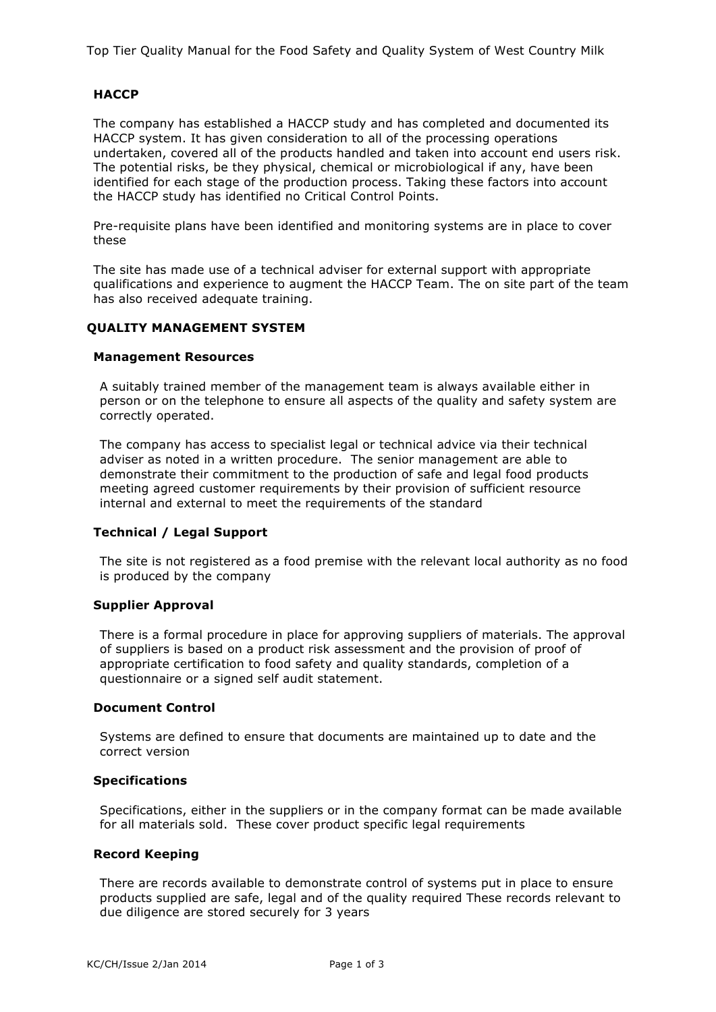Top Tier Quality Manual for the Food Safety and Quality System of West Country Milk

# **HACCP**

The company has established a HACCP study and has completed and documented its HACCP system. It has given consideration to all of the processing operations undertaken, covered all of the products handled and taken into account end users risk. The potential risks, be they physical, chemical or microbiological if any, have been identified for each stage of the production process. Taking these factors into account the HACCP study has identified no Critical Control Points.

Pre-requisite plans have been identified and monitoring systems are in place to cover these

The site has made use of a technical adviser for external support with appropriate qualifications and experience to augment the HACCP Team. The on site part of the team has also received adequate training.

## **QUALITY MANAGEMENT SYSTEM**

#### **Management Resources**

A suitably trained member of the management team is always available either in person or on the telephone to ensure all aspects of the quality and safety system are correctly operated.

The company has access to specialist legal or technical advice via their technical adviser as noted in a written procedure. The senior management are able to demonstrate their commitment to the production of safe and legal food products meeting agreed customer requirements by their provision of sufficient resource internal and external to meet the requirements of the standard

#### **Technical / Legal Support**

The site is not registered as a food premise with the relevant local authority as no food is produced by the company

#### **Supplier Approval**

There is a formal procedure in place for approving suppliers of materials. The approval of suppliers is based on a product risk assessment and the provision of proof of appropriate certification to food safety and quality standards, completion of a questionnaire or a signed self audit statement.

#### **Document Control**

Systems are defined to ensure that documents are maintained up to date and the correct version

#### **Specifications**

Specifications, either in the suppliers or in the company format can be made available for all materials sold. These cover product specific legal requirements

#### **Record Keeping**

There are records available to demonstrate control of systems put in place to ensure products supplied are safe, legal and of the quality required These records relevant to due diligence are stored securely for 3 years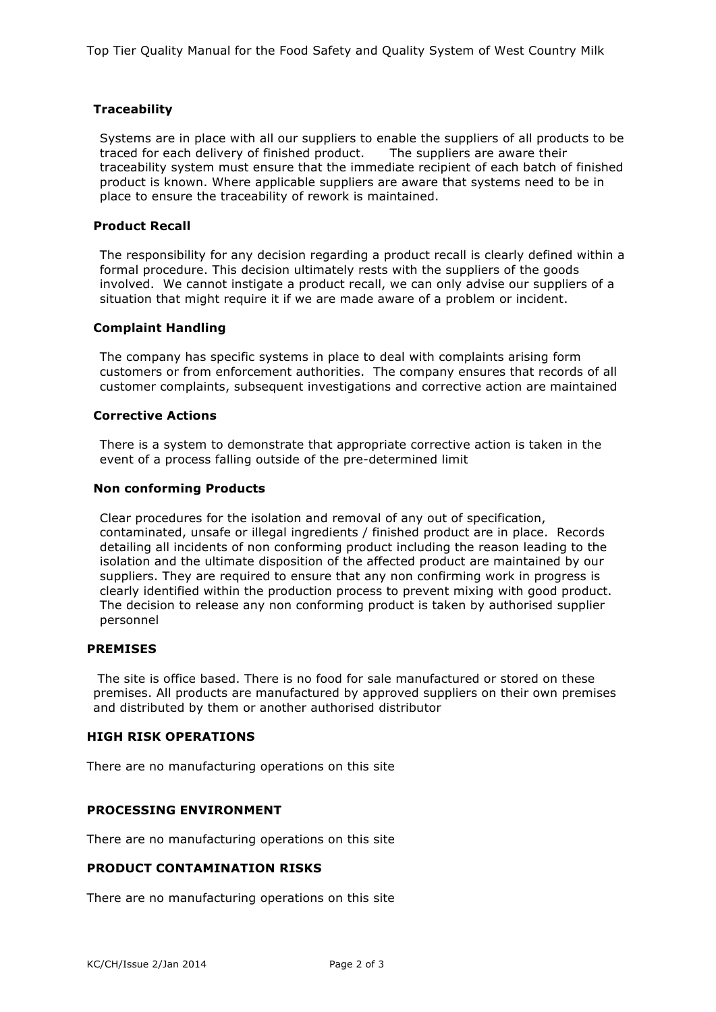# **Traceability**

Systems are in place with all our suppliers to enable the suppliers of all products to be traced for each delivery of finished product. The suppliers are aware their traceability system must ensure that the immediate recipient of each batch of finished product is known. Where applicable suppliers are aware that systems need to be in place to ensure the traceability of rework is maintained.

## **Product Recall**

The responsibility for any decision regarding a product recall is clearly defined within a formal procedure. This decision ultimately rests with the suppliers of the goods involved. We cannot instigate a product recall, we can only advise our suppliers of a situation that might require it if we are made aware of a problem or incident.

## **Complaint Handling**

The company has specific systems in place to deal with complaints arising form customers or from enforcement authorities. The company ensures that records of all customer complaints, subsequent investigations and corrective action are maintained

## **Corrective Actions**

There is a system to demonstrate that appropriate corrective action is taken in the event of a process falling outside of the pre-determined limit

## **Non conforming Products**

Clear procedures for the isolation and removal of any out of specification, contaminated, unsafe or illegal ingredients / finished product are in place. Records detailing all incidents of non conforming product including the reason leading to the isolation and the ultimate disposition of the affected product are maintained by our suppliers. They are required to ensure that any non confirming work in progress is clearly identified within the production process to prevent mixing with good product. The decision to release any non conforming product is taken by authorised supplier personnel

### **PREMISES**

The site is office based. There is no food for sale manufactured or stored on these premises. All products are manufactured by approved suppliers on their own premises and distributed by them or another authorised distributor

## **HIGH RISK OPERATIONS**

There are no manufacturing operations on this site

# **PROCESSING ENVIRONMENT**

There are no manufacturing operations on this site

# **PRODUCT CONTAMINATION RISKS**

There are no manufacturing operations on this site